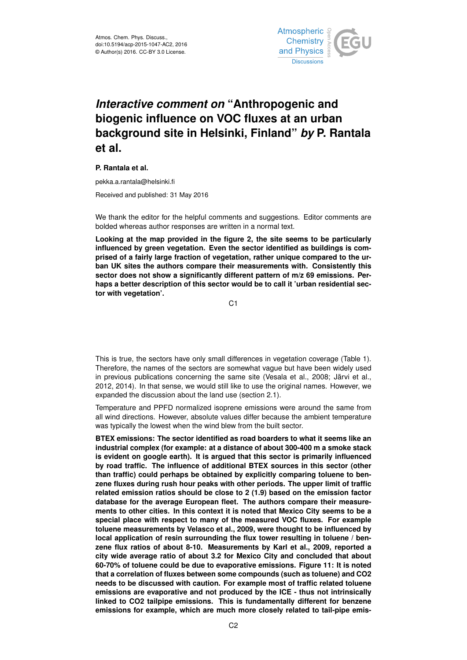

## *Interactive comment on* **"Anthropogenic and biogenic influence on VOC fluxes at an urban background site in Helsinki, Finland"** *by* **P. Rantala et al.**

**P. Rantala et al.**

pekka.a.rantala@helsinki.fi

Received and published: 31 May 2016

We thank the editor for the helpful comments and suggestions. Editor comments are bolded whereas author responses are written in a normal text.

**Looking at the map provided in the figure 2, the site seems to be particularly influenced by green vegetation. Even the sector identified as buildings is comprised of a fairly large fraction of vegetation, rather unique compared to the urban UK sites the authors compare their measurements with. Consistently this sector does not show a significantly different pattern of m/z 69 emissions. Perhaps a better description of this sector would be to call it 'urban residential sector with vegetation'.**

C<sub>1</sub>

This is true, the sectors have only small differences in vegetation coverage (Table 1). Therefore, the names of the sectors are somewhat vague but have been widely used in previous publications concerning the same site (Vesala et al., 2008; Järvi et al., 2012, 2014). In that sense, we would still like to use the original names. However, we expanded the discussion about the land use (section 2.1).

Temperature and PPFD normalized isoprene emissions were around the same from all wind directions. However, absolute values differ because the ambient temperature was typically the lowest when the wind blew from the built sector.

**BTEX emissions: The sector identified as road boarders to what it seems like an industrial complex (for example: at a distance of about 300-400 m a smoke stack is evident on google earth). It is argued that this sector is primarily influenced by road traffic. The influence of additional BTEX sources in this sector (other than traffic) could perhaps be obtained by explicitly comparing toluene to benzene fluxes during rush hour peaks with other periods. The upper limit of traffic related emission ratios should be close to 2 (1.9) based on the emission factor database for the average European fleet. The authors compare their measurements to other cities. In this context it is noted that Mexico City seems to be a special place with respect to many of the measured VOC fluxes. For example toluene measurements by Velasco et al., 2009, were thought to be influenced by local application of resin surrounding the flux tower resulting in toluene / benzene flux ratios of about 8-10. Measurements by Karl et al., 2009, reported a city wide average ratio of about 3.2 for Mexico City and concluded that about 60-70% of toluene could be due to evaporative emissions. Figure 11: It is noted that a correlation of fluxes between some compounds (such as toluene) and CO2 needs to be discussed with caution. For example most of traffic related toluene emissions are evaporative and not produced by the ICE - thus not intrinsically linked to CO2 tailpipe emissions. This is fundamentally different for benzene emissions for example, which are much more closely related to tail-pipe emis-**